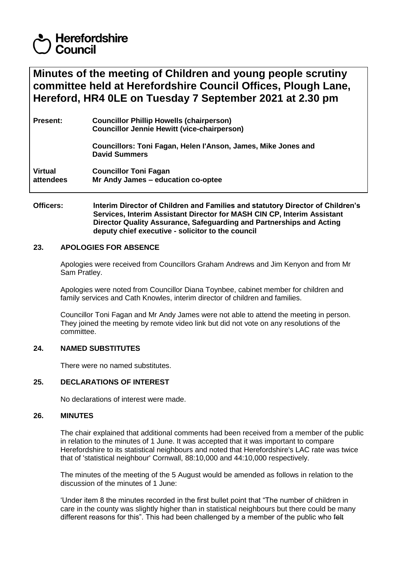# **Herefordshire** Council

**Minutes of the meeting of Children and young people scrutiny committee held at Herefordshire Council Offices, Plough Lane, Hereford, HR4 0LE on Tuesday 7 September 2021 at 2.30 pm**

| <b>Present:</b>             | <b>Councillor Phillip Howells (chairperson)</b><br><b>Councillor Jennie Hewitt (vice-chairperson)</b> |
|-----------------------------|-------------------------------------------------------------------------------------------------------|
|                             | Councillors: Toni Fagan, Helen l'Anson, James, Mike Jones and<br><b>David Summers</b>                 |
| <b>Virtual</b><br>attendees | <b>Councillor Toni Fagan</b><br>Mr Andy James - education co-optee                                    |

**Officers: Interim Director of Children and Families and statutory Director of Children's Services, Interim Assistant Director for MASH CIN CP, Interim Assistant Director Quality Assurance, Safeguarding and Partnerships and Acting deputy chief executive - solicitor to the council**

## **23. APOLOGIES FOR ABSENCE**

Apologies were received from Councillors Graham Andrews and Jim Kenyon and from Mr Sam Pratley.

Apologies were noted from Councillor Diana Toynbee, cabinet member for children and family services and Cath Knowles, interim director of children and families.

Councillor Toni Fagan and Mr Andy James were not able to attend the meeting in person. They joined the meeting by remote video link but did not vote on any resolutions of the committee.

## **24. NAMED SUBSTITUTES**

There were no named substitutes.

## **25. DECLARATIONS OF INTEREST**

No declarations of interest were made.

#### **26. MINUTES**

The chair explained that additional comments had been received from a member of the public in relation to the minutes of 1 June. It was accepted that it was important to compare Herefordshire to its statistical neighbours and noted that Herefordshire's LAC rate was twice that of 'statistical neighbour' Cornwall, 88:10,000 and 44:10,000 respectively.

The minutes of the meeting of the 5 August would be amended as follows in relation to the discussion of the minutes of 1 June:

'Under item 8 the minutes recorded in the first bullet point that "The number of children in care in the county was slightly higher than in statistical neighbours but there could be many different reasons for this". This had been challenged by a member of the public who felt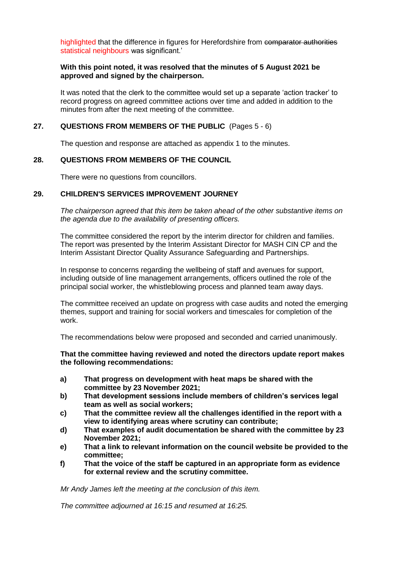highlighted that the difference in figures for Herefordshire from comparator authorities statistical neighbours was significant.'

## **With this point noted, it was resolved that the minutes of 5 August 2021 be approved and signed by the chairperson.**

It was noted that the clerk to the committee would set up a separate 'action tracker' to record progress on agreed committee actions over time and added in addition to the minutes from after the next meeting of the committee.

## **27. QUESTIONS FROM MEMBERS OF THE PUBLIC** (Pages 5 - 6)

The question and response are attached as appendix 1 to the minutes.

## **28. QUESTIONS FROM MEMBERS OF THE COUNCIL**

There were no questions from councillors.

## **29. CHILDREN'S SERVICES IMPROVEMENT JOURNEY**

*The chairperson agreed that this item be taken ahead of the other substantive items on the agenda due to the availability of presenting officers.* 

The committee considered the report by the interim director for children and families. The report was presented by the Interim Assistant Director for MASH CIN CP and the Interim Assistant Director Quality Assurance Safeguarding and Partnerships.

In response to concerns regarding the wellbeing of staff and avenues for support, including outside of line management arrangements, officers outlined the role of the principal social worker, the whistleblowing process and planned team away days.

The committee received an update on progress with case audits and noted the emerging themes, support and training for social workers and timescales for completion of the work.

The recommendations below were proposed and seconded and carried unanimously.

**That the committee having reviewed and noted the directors update report makes the following recommendations:**

- **a) That progress on development with heat maps be shared with the committee by 23 November 2021;**
- **b) That development sessions include members of children's services legal team as well as social workers;**
- **c) That the committee review all the challenges identified in the report with a view to identifying areas where scrutiny can contribute;**
- **d) That examples of audit documentation be shared with the committee by 23 November 2021;**
- **e) That a link to relevant information on the council website be provided to the committee;**
- **f) That the voice of the staff be captured in an appropriate form as evidence for external review and the scrutiny committee.**

*Mr Andy James left the meeting at the conclusion of this item.*

*The committee adjourned at 16:15 and resumed at 16:25.*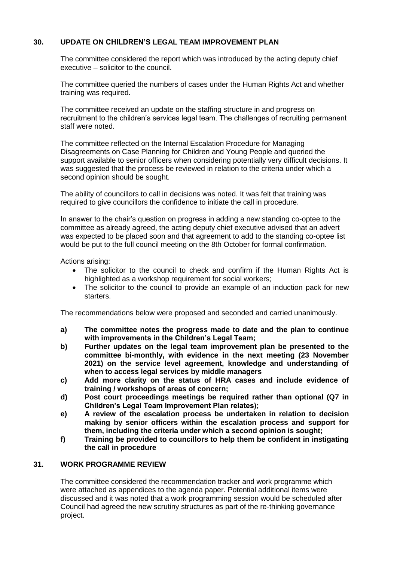# **30. UPDATE ON CHILDREN'S LEGAL TEAM IMPROVEMENT PLAN**

The committee considered the report which was introduced by the acting deputy chief executive – solicitor to the council.

The committee queried the numbers of cases under the Human Rights Act and whether training was required.

The committee received an update on the staffing structure in and progress on recruitment to the children's services legal team. The challenges of recruiting permanent staff were noted.

The committee reflected on the Internal Escalation Procedure for Managing Disagreements on Case Planning for Children and Young People and queried the support available to senior officers when considering potentially very difficult decisions. It was suggested that the process be reviewed in relation to the criteria under which a second opinion should be sought.

The ability of councillors to call in decisions was noted. It was felt that training was required to give councillors the confidence to initiate the call in procedure.

In answer to the chair's question on progress in adding a new standing co-optee to the committee as already agreed, the acting deputy chief executive advised that an advert was expected to be placed soon and that agreement to add to the standing co-optee list would be put to the full council meeting on the 8th October for formal confirmation.

#### Actions arising:

- The solicitor to the council to check and confirm if the Human Rights Act is highlighted as a workshop requirement for social workers;
- The solicitor to the council to provide an example of an induction pack for new starters.

The recommendations below were proposed and seconded and carried unanimously.

- **a) The committee notes the progress made to date and the plan to continue with improvements in the Children's Legal Team;**
- **b) Further updates on the legal team improvement plan be presented to the committee bi-monthly, with evidence in the next meeting (23 November 2021) on the service level agreement, knowledge and understanding of when to access legal services by middle managers**
- **c) Add more clarity on the status of HRA cases and include evidence of training / workshops of areas of concern;**
- **d) Post court proceedings meetings be required rather than optional (Q7 in Children's Legal Team Improvement Plan relates);**
- **e) A review of the escalation process be undertaken in relation to decision making by senior officers within the escalation process and support for them, including the criteria under which a second opinion is sought;**
- **f) Training be provided to councillors to help them be confident in instigating the call in procedure**

# **31. WORK PROGRAMME REVIEW**

The committee considered the recommendation tracker and work programme which were attached as appendices to the agenda paper. Potential additional items were discussed and it was noted that a work programming session would be scheduled after Council had agreed the new scrutiny structures as part of the re-thinking governance project.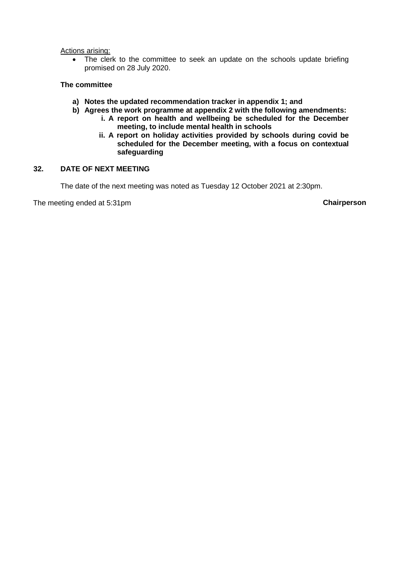#### Actions arising:

• The clerk to the committee to seek an update on the schools update briefing promised on 28 July 2020.

## **The committee**

- **a) Notes the updated recommendation tracker in appendix 1; and**
- **b) Agrees the work programme at appendix 2 with the following amendments:**
	- **i. A report on health and wellbeing be scheduled for the December meeting, to include mental health in schools**
	- **ii. A report on holiday activities provided by schools during covid be scheduled for the December meeting, with a focus on contextual safeguarding**

## **32. DATE OF NEXT MEETING**

The date of the next meeting was noted as Tuesday 12 October 2021 at 2:30pm.

The meeting ended at 5:31pm **Chairperson**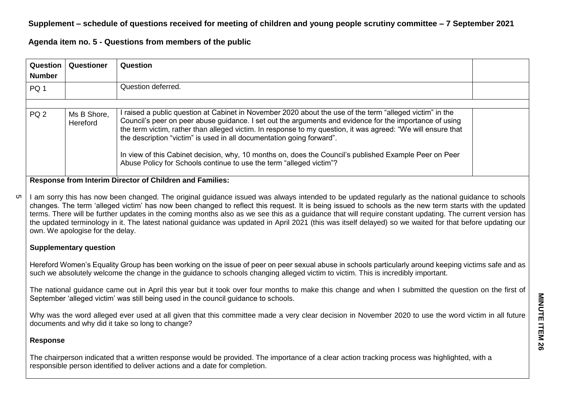# **Supplement – schedule of questions received for meeting of children and young people scrutiny committee – 7 September 2021**

**Agenda item no. 5 - Questions from members of the public**

| Question<br><b>Number</b> | Questioner              | Question                                                                                                                                                                                                                                                                                                                                                                                                                                                                                                                                                                                    |  |
|---------------------------|-------------------------|---------------------------------------------------------------------------------------------------------------------------------------------------------------------------------------------------------------------------------------------------------------------------------------------------------------------------------------------------------------------------------------------------------------------------------------------------------------------------------------------------------------------------------------------------------------------------------------------|--|
| PQ 1                      |                         | Question deferred.                                                                                                                                                                                                                                                                                                                                                                                                                                                                                                                                                                          |  |
|                           |                         |                                                                                                                                                                                                                                                                                                                                                                                                                                                                                                                                                                                             |  |
| PQ <sub>2</sub>           | Ms B Shore,<br>Hereford | raised a public question at Cabinet in November 2020 about the use of the term "alleged victim" in the<br>Council's peer on peer abuse guidance. I set out the arguments and evidence for the importance of using<br>the term victim, rather than alleged victim. In response to my question, it was agreed: "We will ensure that<br>the description "victim" is used in all documentation going forward".<br>In view of this Cabinet decision, why, 10 months on, does the Council's published Example Peer on Peer<br>Abuse Policy for Schools continue to use the term "alleged victim"? |  |

## **Response from Interim Director of Children and Families:**

I am sorry this has now been changed. The original guidance issued was always intended to be updated regularly as the national guidance to schools changes. The term 'alleged victim' has now been changed to reflect this request. It is being issued to schools as the new term starts with the updated terms. There will be further updates in the coming months also as we see this as a guidance that will require constant updating. The current version has the updated terminology in it. The latest national guidance was updated in April 2021 (this was itself delayed) so we waited for that before updating our own. We apologise for the delay. ת)

## **Supplementary question**

Hereford Women's Equality Group has been working on the issue of peer on peer sexual abuse in schools particularly around keeping victims safe and as such we absolutely welcome the change in the guidance to schools changing alleged victim to victim. This is incredibly important.

The national guidance came out in April this year but it took over four months to make this change and when I submitted the question on the first of September 'alleged victim' was still being used in the council guidance to schools.

Why was the word alleged ever used at all given that this committee made a very clear decision in November 2020 to use the word victim in all future documents and why did it take so long to change?

# **Response**

The chairperson indicated that a written response would be provided. The importance of a clear action tracking process was highlighted, with a responsible person identified to deliver actions and a date for completion.